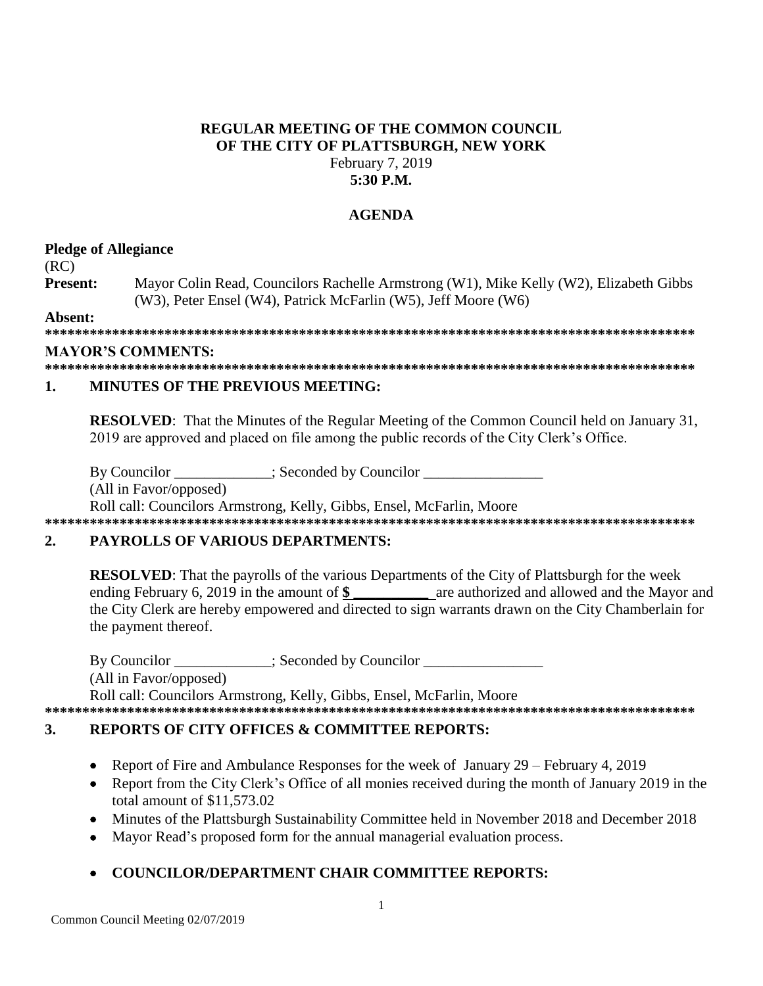# **REGULAR MEETING OF THE COMMON COUNCIL OF THE CITY OF PLATTSBURGH, NEW YORK** February 7, 2019

## **5:30 P.M.**

### **AGENDA**

### **Pledge of Allegiance**

(RC)

**Present:** Mayor Colin Read, Councilors Rachelle Armstrong (W1), Mike Kelly (W2), Elizabeth Gibbs (W3), Peter Ensel (W4), Patrick McFarlin (W5), Jeff Moore (W6)

**Absent:**

**\*\*\*\*\*\*\*\*\*\*\*\*\*\*\*\*\*\*\*\*\*\*\*\*\*\*\*\*\*\*\*\*\*\*\*\*\*\*\*\*\*\*\*\*\*\*\*\*\*\*\*\*\*\*\*\*\*\*\*\*\*\*\*\*\*\*\*\*\*\*\*\*\*\*\*\*\*\*\*\*\*\*\*\*\*\*\***

### **MAYOR'S COMMENTS:**

**\*\*\*\*\*\*\*\*\*\*\*\*\*\*\*\*\*\*\*\*\*\*\*\*\*\*\*\*\*\*\*\*\*\*\*\*\*\*\*\*\*\*\*\*\*\*\*\*\*\*\*\*\*\*\*\*\*\*\*\*\*\*\*\*\*\*\*\*\*\*\*\*\*\*\*\*\*\*\*\*\*\*\*\*\*\*\***

# **1. MINUTES OF THE PREVIOUS MEETING:**

**RESOLVED**: That the Minutes of the Regular Meeting of the Common Council held on January 31, 2019 are approved and placed on file among the public records of the City Clerk's Office.

By Councilor  $\qquad \qquad$ : Seconded by Councilor

(All in Favor/opposed)

Roll call: Councilors Armstrong, Kelly, Gibbs, Ensel, McFarlin, Moore

# **\*\*\*\*\*\*\*\*\*\*\*\*\*\*\*\*\*\*\*\*\*\*\*\*\*\*\*\*\*\*\*\*\*\*\*\*\*\*\*\*\*\*\*\*\*\*\*\*\*\*\*\*\*\*\*\*\*\*\*\*\*\*\*\*\*\*\*\*\*\*\*\*\*\*\*\*\*\*\*\*\*\*\*\*\*\*\***

### **2. PAYROLLS OF VARIOUS DEPARTMENTS:**

**RESOLVED**: That the payrolls of the various Departments of the City of Plattsburgh for the week ending February 6, 2019 in the amount of **\$ \_\_\_\_\_\_\_\_\_\_** are authorized and allowed and the Mayor and the City Clerk are hereby empowered and directed to sign warrants drawn on the City Chamberlain for the payment thereof.

By Councilor \_\_\_\_\_\_\_\_\_\_\_; Seconded by Councilor \_\_\_\_\_\_\_\_\_\_\_\_\_\_\_\_\_\_\_\_\_\_\_\_\_\_\_\_\_\_\_\_ (All in Favor/opposed) Roll call: Councilors Armstrong, Kelly, Gibbs, Ensel, McFarlin, Moore **\*\*\*\*\*\*\*\*\*\*\*\*\*\*\*\*\*\*\*\*\*\*\*\*\*\*\*\*\*\*\*\*\*\*\*\*\*\*\*\*\*\*\*\*\*\*\*\*\*\*\*\*\*\*\*\*\*\*\*\*\*\*\*\*\*\*\*\*\*\*\*\*\*\*\*\*\*\*\*\*\*\*\*\*\*\*\***

# **3. REPORTS OF CITY OFFICES & COMMITTEE REPORTS:**

- Report of Fire and Ambulance Responses for the week of January 29 February 4, 2019
- Report from the City Clerk's Office of all monies received during the month of January 2019 in the total amount of \$11,573.02
- Minutes of the Plattsburgh Sustainability Committee held in November 2018 and December 2018
- Mayor Read's proposed form for the annual managerial evaluation process.

# **COUNCILOR/DEPARTMENT CHAIR COMMITTEE REPORTS:**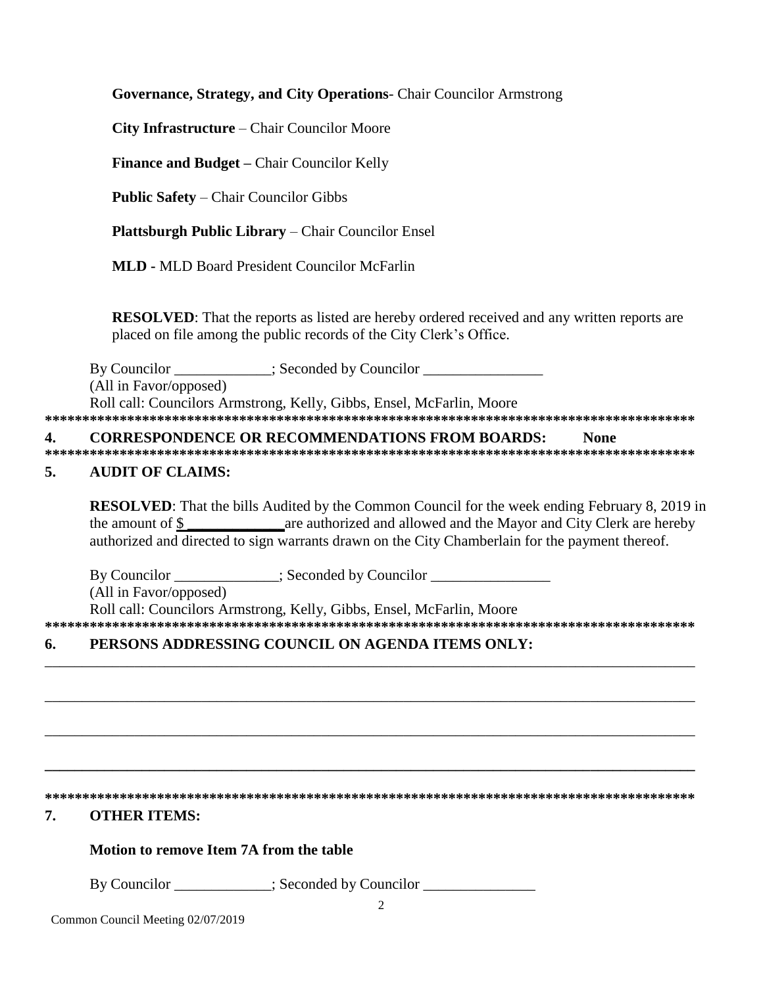Governance, Strategy, and City Operations- Chair Councilor Armstrong

City Infrastructure – Chair Councilor Moore

Finance and Budget - Chair Councilor Kelly

**Public Safety – Chair Councilor Gibbs** 

Plattsburgh Public Library - Chair Councilor Ensel

**MLD - MLD Board President Councilor McFarlin** 

**RESOLVED:** That the reports as listed are hereby ordered received and any written reports are placed on file among the public records of the City Clerk's Office.

 $\qquad \qquad \therefore$  Seconded by Councilor By Councilor

(All in Favor/opposed)

Roll call: Councilors Armstrong, Kelly, Gibbs, Ensel, McFarlin, Moore 

#### **CORRESPONDENCE OR RECOMMENDATIONS FROM BOARDS:** 4. **None**

#### 5. **AUDIT OF CLAIMS:**

**RESOLVED:** That the bills Audited by the Common Council for the week ending February 8, 2019 in the amount of \$ authorized and directed to sign warrants drawn on the City Chamberlain for the payment thereof.

By Councilor \_\_\_\_\_\_\_\_\_\_\_\_; Seconded by Councilor \_\_\_\_\_\_\_\_\_\_\_\_\_\_\_\_\_\_\_\_\_\_\_\_\_\_\_\_\_\_\_

(All in Favor/opposed)

Roll call: Councilors Armstrong, Kelly, Gibbs, Ensel, McFarlin, Moore 

#### PERSONS ADDRESSING COUNCIL ON AGENDA ITEMS ONLY: 6.

#### 7. **OTHER ITEMS:**

### Motion to remove Item 7A from the table

By Councilor \_\_\_\_\_\_\_\_\_\_; Seconded by Councilor \_\_\_\_\_\_\_\_\_\_\_\_\_\_\_\_\_\_\_\_\_\_\_\_\_\_\_\_\_\_\_\_\_

Common Council Meeting 02/07/2019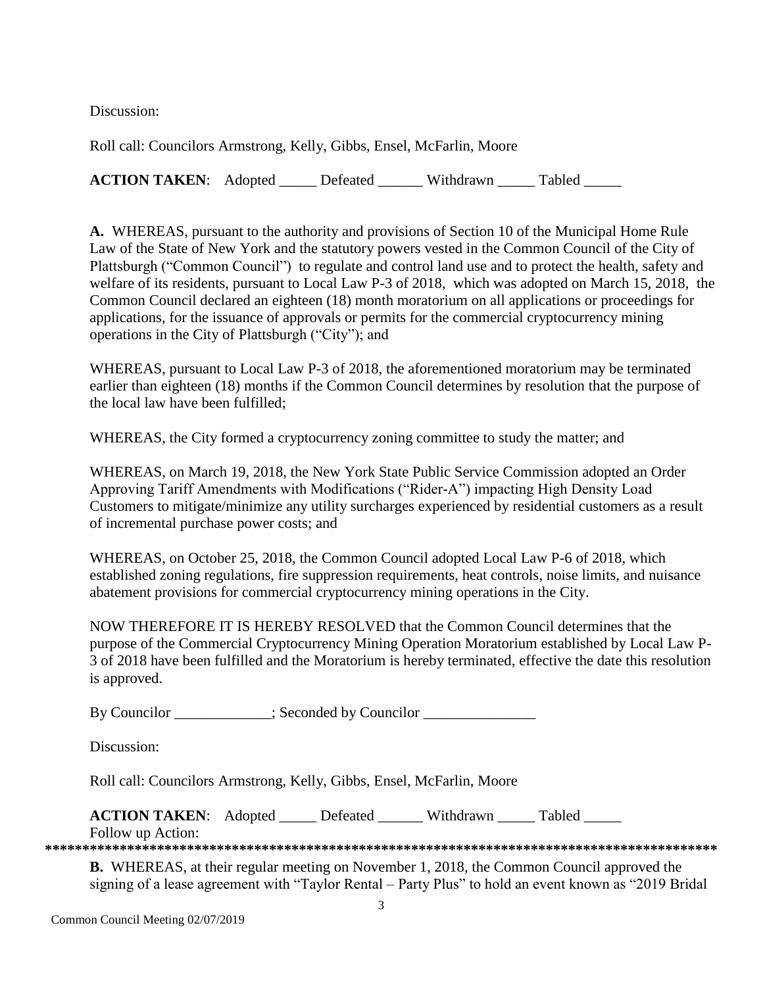Discussion:

Roll call: Councilors Armstrong, Kelly, Gibbs, Ensel, McFarlin, Moore

**ACTION TAKEN:** Adopted Defeated Withdrawn Tabled

**A.** WHEREAS, pursuant to the authority and provisions of Section 10 of the Municipal Home Rule Law of the State of New York and the statutory powers vested in the Common Council of the City of Plattsburgh ("Common Council") to regulate and control land use and to protect the health, safety and welfare of its residents, pursuant to Local Law P-3 of 2018, which was adopted on March 15, 2018, the Common Council declared an eighteen (18) month moratorium on all applications or proceedings for applications, for the issuance of approvals or permits for the commercial cryptocurrency mining operations in the City of Plattsburgh ("City"); and

WHEREAS, pursuant to Local Law P-3 of 2018, the aforementioned moratorium may be terminated earlier than eighteen (18) months if the Common Council determines by resolution that the purpose of the local law have been fulfilled;

WHEREAS, the City formed a cryptocurrency zoning committee to study the matter; and

WHEREAS, on March 19, 2018, the New York State Public Service Commission adopted an Order Approving Tariff Amendments with Modifications ("Rider-A") impacting High Density Load Customers to mitigate/minimize any utility surcharges experienced by residential customers as a result of incremental purchase power costs; and

WHEREAS, on October 25, 2018, the Common Council adopted Local Law P-6 of 2018, which established zoning regulations, fire suppression requirements, heat controls, noise limits, and nuisance abatement provisions for commercial cryptocurrency mining operations in the City.

NOW THEREFORE IT IS HEREBY RESOLVED that the Common Council determines that the purpose of the Commercial Cryptocurrency Mining Operation Moratorium established by Local Law P-3 of 2018 have been fulfilled and the Moratorium is hereby terminated, effective the date this resolution is approved.

By Councilor \_\_\_\_\_\_\_\_\_\_; Seconded by Councilor \_\_\_\_\_\_\_\_\_\_\_\_\_\_\_\_\_\_\_\_\_\_\_\_\_\_\_\_\_\_\_\_\_

Discussion:

Roll call: Councilors Armstrong, Kelly, Gibbs, Ensel, McFarlin, Moore

| <b>ACTION TAKEN:</b> Adopted | Defeated | Withdrawn | Tabled |  |
|------------------------------|----------|-----------|--------|--|
| Follow up Action:            |          |           |        |  |

**\*\*\*\*\*\*\*\*\*\*\*\*\*\*\*\*\*\*\*\*\*\*\*\*\*\*\*\*\*\*\*\*\*\*\*\*\*\*\*\*\*\*\*\*\*\*\*\*\*\*\*\*\*\*\*\*\*\*\*\*\*\*\*\*\*\*\*\*\*\*\*\*\*\*\*\*\*\*\*\*\*\*\*\*\*\*\*\*\*\***

**B.** WHEREAS, at their regular meeting on November 1, 2018, the Common Council approved the signing of a lease agreement with "Taylor Rental – Party Plus" to hold an event known as "2019 Bridal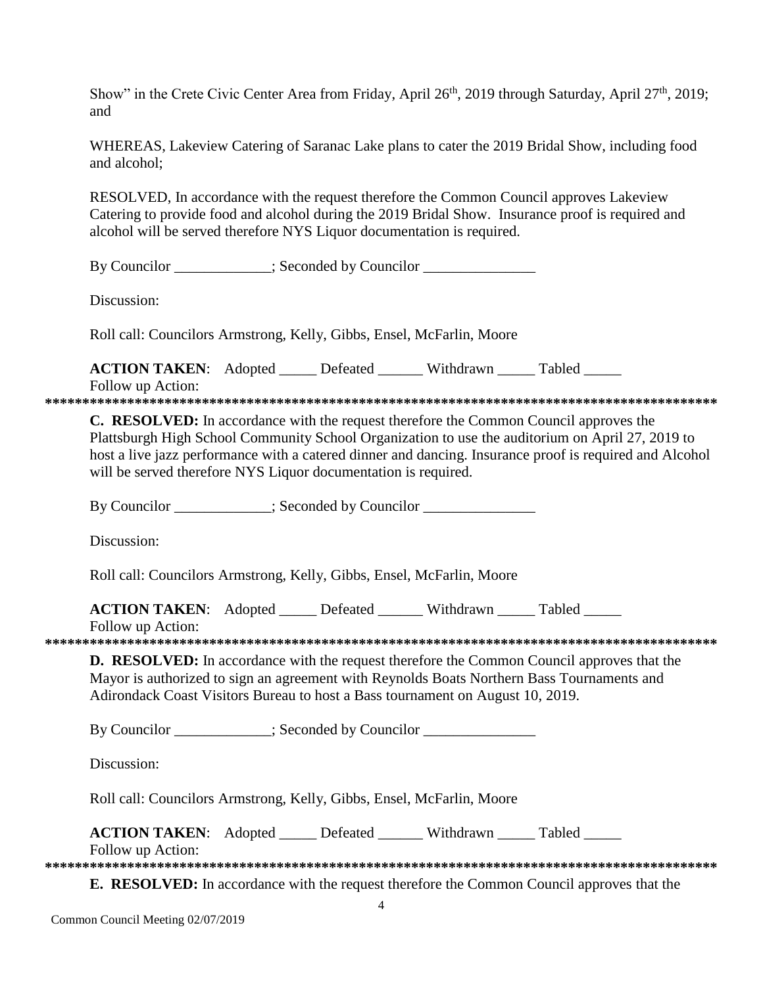Show" in the Crete Civic Center Area from Friday, April 26<sup>th</sup>, 2019 through Saturday, April 27<sup>th</sup>, 2019; and

WHEREAS, Lakeview Catering of Saranac Lake plans to cater the 2019 Bridal Show, including food and alcohol;

RESOLVED, In accordance with the request therefore the Common Council approves Lakeview Catering to provide food and alcohol during the 2019 Bridal Show. Insurance proof is required and alcohol will be served therefore NYS Liquor documentation is required.

By Councilor \_\_\_\_\_\_\_\_\_\_; Seconded by Councilor \_\_\_\_\_\_\_\_\_\_\_\_\_\_\_\_\_\_\_\_\_\_\_\_\_\_\_\_\_\_\_\_\_

Discussion<sup>.</sup>

Roll call: Councilors Armstrong, Kelly, Gibbs, Ensel, McFarlin, Moore

**ACTION TAKEN:** Adopted \_\_\_\_\_ Defeated \_\_\_\_\_\_ Withdrawn \_\_\_\_\_ Tabled \_\_\_\_\_

Follow up Action: **\*\*\*\*\*\*\*\*\*\*\*\*\*\*\*\*\*\*\*\*\*\*\*\*\*\*\*\*\*\*\*\*\*\*\*\*\*\*\*\*\*\*\*\*\*\*\*\*\*\*\*\*\*\*\*\*\*\*\*\*\*\*\*\*\*\*\*\*\*\*\*\*\*\*\*\*\*\*\*\*\*\*\*\*\*\*\*\*\*\***

**C. RESOLVED:** In accordance with the request therefore the Common Council approves the Plattsburgh High School Community School Organization to use the auditorium on April 27, 2019 to host a live jazz performance with a catered dinner and dancing. Insurance proof is required and Alcohol will be served therefore NYS Liquor documentation is required.

By Councilor \_\_\_\_\_\_\_\_\_\_\_; Seconded by Councilor \_\_\_\_\_\_\_\_\_\_\_\_\_\_\_\_\_\_\_\_\_\_\_\_\_\_\_\_\_\_\_\_

Discussion:

Roll call: Councilors Armstrong, Kelly, Gibbs, Ensel, McFarlin, Moore

**ACTION TAKEN:** Adopted Defeated Withdrawn Tabled

Follow up Action:

**\*\*\*\*\*\*\*\*\*\*\*\*\*\*\*\*\*\*\*\*\*\*\*\*\*\*\*\*\*\*\*\*\*\*\*\*\*\*\*\*\*\*\*\*\*\*\*\*\*\*\*\*\*\*\*\*\*\*\*\*\*\*\*\*\*\*\*\*\*\*\*\*\*\*\*\*\*\*\*\*\*\*\*\*\*\*\*\*\*\***

**D. RESOLVED:** In accordance with the request therefore the Common Council approves that the Mayor is authorized to sign an agreement with Reynolds Boats Northern Bass Tournaments and Adirondack Coast Visitors Bureau to host a Bass tournament on August 10, 2019.

By Councilor \_\_\_\_\_\_\_\_\_\_; Seconded by Councilor \_\_\_\_\_\_\_\_\_\_\_\_\_\_\_\_\_\_\_\_\_\_\_\_\_\_\_\_\_\_\_\_\_

Discussion:

Roll call: Councilors Armstrong, Kelly, Gibbs, Ensel, McFarlin, Moore

**ACTION TAKEN:** Adopted \_\_\_\_\_ Defeated \_\_\_\_\_\_ Withdrawn \_\_\_\_\_ Tabled \_\_\_\_\_

Follow up Action:

**\*\*\*\*\*\*\*\*\*\*\*\*\*\*\*\*\*\*\*\*\*\*\*\*\*\*\*\*\*\*\*\*\*\*\*\*\*\*\*\*\*\*\*\*\*\*\*\*\*\*\*\*\*\*\*\*\*\*\*\*\*\*\*\*\*\*\*\*\*\*\*\*\*\*\*\*\*\*\*\*\*\*\*\*\*\*\*\*\*\***

**E. RESOLVED:** In accordance with the request therefore the Common Council approves that the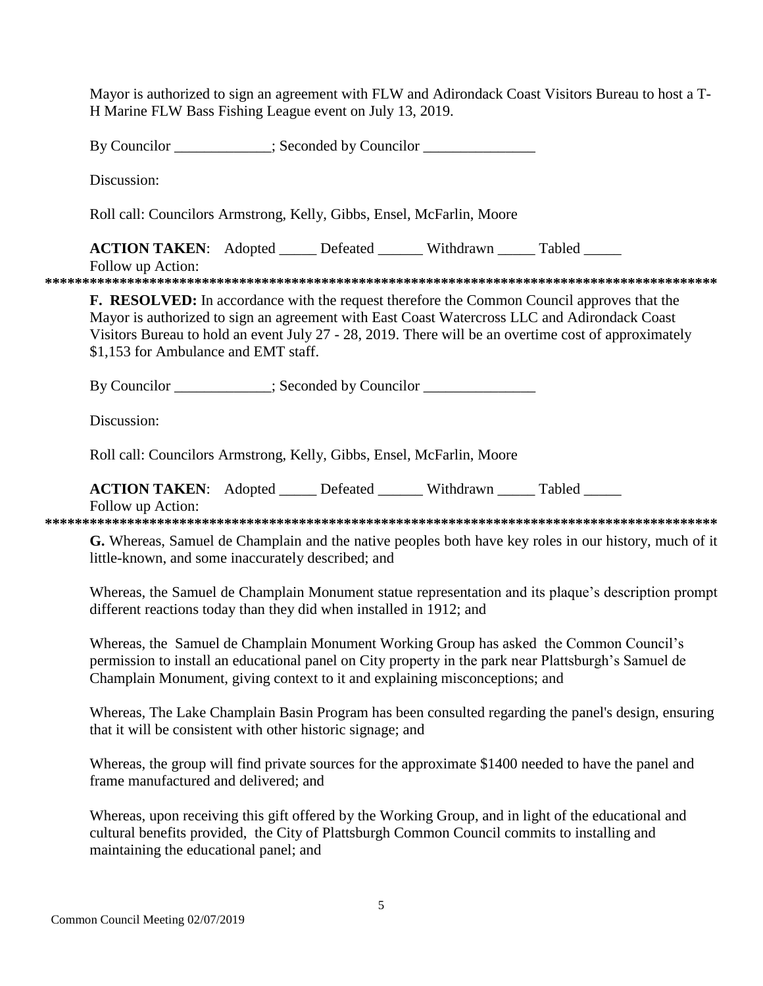Mayor is authorized to sign an agreement with FLW and Adirondack Coast Visitors Bureau to host a T-H Marine FLW Bass Fishing League event on July 13, 2019.

By Councilor : Seconded by Councilor Discussion: Roll call: Councilors Armstrong, Kelly, Gibbs, Ensel, McFarlin, Moore **ACTION TAKEN:** Adopted Lefeated Withdrawn Tabled Follow up Action: **F. RESOLVED:** In accordance with the request therefore the Common Council approves that the Mayor is authorized to sign an agreement with East Coast Watercross LLC and Adirondack Coast Visitors Bureau to hold an event July 27 - 28, 2019. There will be an overtime cost of approximately \$1,153 for Ambulance and EMT staff. By Councilor \_\_\_\_\_\_\_\_\_\_\_\_; Seconded by Councilor \_\_\_\_\_\_\_\_\_\_\_\_\_\_\_\_\_\_\_\_\_\_\_\_\_\_\_\_\_\_\_ Discussion: Roll call: Councilors Armstrong, Kelly, Gibbs, Ensel, McFarlin, Moore ACTION TAKEN: Adopted \_\_\_\_\_ Defeated \_\_\_\_\_\_ Withdrawn \_\_\_\_\_ Tabled \_\_\_\_\_ Follow up Action: G. Whereas, Samuel de Champlain and the native peoples both have key roles in our history, much of it little-known, and some inaccurately described; and Whereas, the Samuel de Champlain Monument statue representation and its plaque's description prompt different reactions today than they did when installed in 1912; and Whereas, the Samuel de Champlain Monument Working Group has asked the Common Council's permission to install an educational panel on City property in the park near Plattsburgh's Samuel de Champlain Monument, giving context to it and explaining misconceptions; and

Whereas, The Lake Champlain Basin Program has been consulted regarding the panel's design, ensuring that it will be consistent with other historic signage; and

Whereas, the group will find private sources for the approximate \$1400 needed to have the panel and frame manufactured and delivered; and

Whereas, upon receiving this gift offered by the Working Group, and in light of the educational and cultural benefits provided, the City of Plattsburgh Common Council commits to installing and maintaining the educational panel; and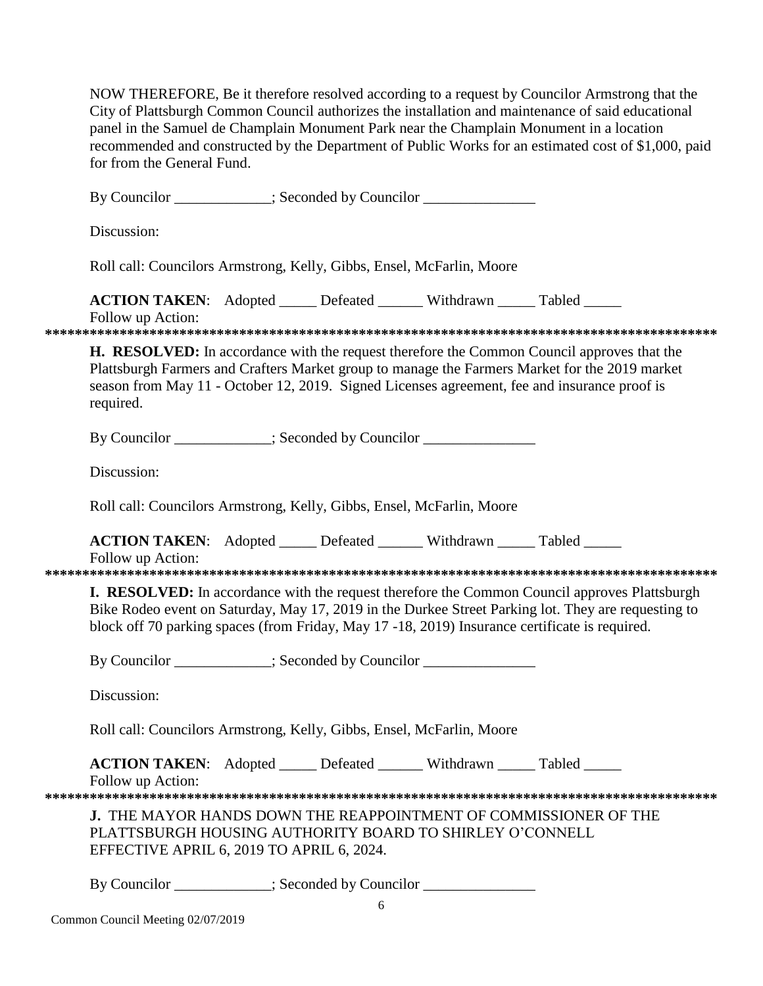NOW THEREFORE, Be it therefore resolved according to a request by Councilor Armstrong that the City of Plattsburgh Common Council authorizes the installation and maintenance of said educational panel in the Samuel de Champlain Monument Park near the Champlain Monument in a location recommended and constructed by the Department of Public Works for an estimated cost of \$1,000, paid for from the General Fund.

|                                                                       | By Councilor ___________; Seconded by Councilor _______________                                       |  |   |  |                                                                                                                                                                                                                                                                                                     |  |  |
|-----------------------------------------------------------------------|-------------------------------------------------------------------------------------------------------|--|---|--|-----------------------------------------------------------------------------------------------------------------------------------------------------------------------------------------------------------------------------------------------------------------------------------------------------|--|--|
|                                                                       | Discussion:                                                                                           |  |   |  |                                                                                                                                                                                                                                                                                                     |  |  |
| Roll call: Councilors Armstrong, Kelly, Gibbs, Ensel, McFarlin, Moore |                                                                                                       |  |   |  |                                                                                                                                                                                                                                                                                                     |  |  |
|                                                                       | <b>ACTION TAKEN:</b> Adopted _____ Defeated ______ Withdrawn _____ Tabled _____<br>Follow up Action:  |  |   |  |                                                                                                                                                                                                                                                                                                     |  |  |
|                                                                       | required.                                                                                             |  |   |  | <b>H. RESOLVED:</b> In accordance with the request therefore the Common Council approves that the<br>Plattsburgh Farmers and Crafters Market group to manage the Farmers Market for the 2019 market<br>season from May 11 - October 12, 2019. Signed Licenses agreement, fee and insurance proof is |  |  |
|                                                                       | By Councilor __________; Seconded by Councilor ______________                                         |  |   |  |                                                                                                                                                                                                                                                                                                     |  |  |
|                                                                       | Discussion:                                                                                           |  |   |  |                                                                                                                                                                                                                                                                                                     |  |  |
|                                                                       | Roll call: Councilors Armstrong, Kelly, Gibbs, Ensel, McFarlin, Moore                                 |  |   |  |                                                                                                                                                                                                                                                                                                     |  |  |
|                                                                       | ACTION TAKEN: Adopted _____ Defeated ______ Withdrawn _____ Tabled _____<br>Follow up Action:         |  |   |  |                                                                                                                                                                                                                                                                                                     |  |  |
|                                                                       | block off 70 parking spaces (from Friday, May 17 -18, 2019) Insurance certificate is required.        |  |   |  | <b>I. RESOLVED:</b> In accordance with the request therefore the Common Council approves Plattsburgh<br>Bike Rodeo event on Saturday, May 17, 2019 in the Durkee Street Parking lot. They are requesting to                                                                                         |  |  |
|                                                                       | By Councilor ___________; Seconded by Councilor ______________                                        |  |   |  |                                                                                                                                                                                                                                                                                                     |  |  |
|                                                                       | Discussion:                                                                                           |  |   |  |                                                                                                                                                                                                                                                                                                     |  |  |
|                                                                       | Roll call: Councilors Armstrong, Kelly, Gibbs, Ensel, McFarlin, Moore                                 |  |   |  |                                                                                                                                                                                                                                                                                                     |  |  |
|                                                                       | <b>ACTION TAKEN:</b> Adopted Defeated Withdrawn Tabled<br>Follow up Action:                           |  |   |  |                                                                                                                                                                                                                                                                                                     |  |  |
|                                                                       | PLATTSBURGH HOUSING AUTHORITY BOARD TO SHIRLEY O'CONNELL<br>EFFECTIVE APRIL 6, 2019 TO APRIL 6, 2024. |  |   |  | <b>J. THE MAYOR HANDS DOWN THE REAPPOINTMENT OF COMMISSIONER OF THE</b>                                                                                                                                                                                                                             |  |  |
|                                                                       | By Councilor ___________; Seconded by Councilor ______________                                        |  | 6 |  |                                                                                                                                                                                                                                                                                                     |  |  |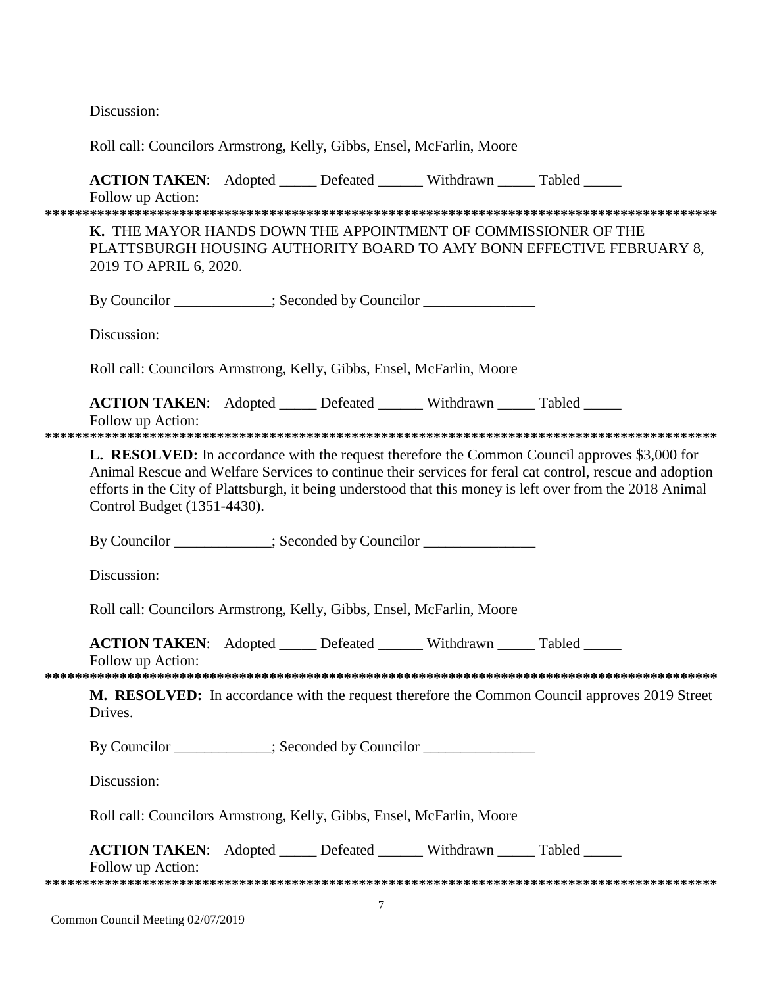Discussion:

| Roll call: Councilors Armstrong, Kelly, Gibbs, Ensel, McFarlin, Moore                                |  |                                                                                                                                                                                                                                                                                                                               |
|------------------------------------------------------------------------------------------------------|--|-------------------------------------------------------------------------------------------------------------------------------------------------------------------------------------------------------------------------------------------------------------------------------------------------------------------------------|
| <b>ACTION TAKEN:</b> Adopted _____ Defeated ______ Withdrawn _____ Tabled _____<br>Follow up Action: |  |                                                                                                                                                                                                                                                                                                                               |
| K. THE MAYOR HANDS DOWN THE APPOINTMENT OF COMMISSIONER OF THE<br>2019 TO APRIL 6, 2020.             |  | PLATTSBURGH HOUSING AUTHORITY BOARD TO AMY BONN EFFECTIVE FEBRUARY 8,                                                                                                                                                                                                                                                         |
| By Councilor ___________; Seconded by Councilor ______________                                       |  |                                                                                                                                                                                                                                                                                                                               |
| Discussion:                                                                                          |  |                                                                                                                                                                                                                                                                                                                               |
| Roll call: Councilors Armstrong, Kelly, Gibbs, Ensel, McFarlin, Moore                                |  |                                                                                                                                                                                                                                                                                                                               |
| <b>ACTION TAKEN:</b> Adopted _____ Defeated ______ Withdrawn _____ Tabled _____<br>Follow up Action: |  |                                                                                                                                                                                                                                                                                                                               |
| Control Budget (1351-4430).                                                                          |  | <b>L. RESOLVED:</b> In accordance with the request therefore the Common Council approves \$3,000 for<br>Animal Rescue and Welfare Services to continue their services for feral cat control, rescue and adoption<br>efforts in the City of Plattsburgh, it being understood that this money is left over from the 2018 Animal |
| By Councilor __________; Seconded by Councilor ______________                                        |  |                                                                                                                                                                                                                                                                                                                               |
| Discussion:                                                                                          |  |                                                                                                                                                                                                                                                                                                                               |
| Roll call: Councilors Armstrong, Kelly, Gibbs, Ensel, McFarlin, Moore                                |  |                                                                                                                                                                                                                                                                                                                               |
| <b>ACTION TAKEN:</b> Adopted _____ Defeated ______ Withdrawn _____ Tabled _____<br>Follow up Action: |  |                                                                                                                                                                                                                                                                                                                               |
| Drives.                                                                                              |  | M. RESOLVED: In accordance with the request therefore the Common Council approves 2019 Street                                                                                                                                                                                                                                 |
| By Councilor __________; Seconded by Councilor ______________                                        |  |                                                                                                                                                                                                                                                                                                                               |
| Discussion:                                                                                          |  |                                                                                                                                                                                                                                                                                                                               |
| Roll call: Councilors Armstrong, Kelly, Gibbs, Ensel, McFarlin, Moore                                |  |                                                                                                                                                                                                                                                                                                                               |
| <b>ACTION TAKEN:</b> Adopted _____ Defeated ______ Withdrawn _____ Tabled _____<br>Follow up Action: |  |                                                                                                                                                                                                                                                                                                                               |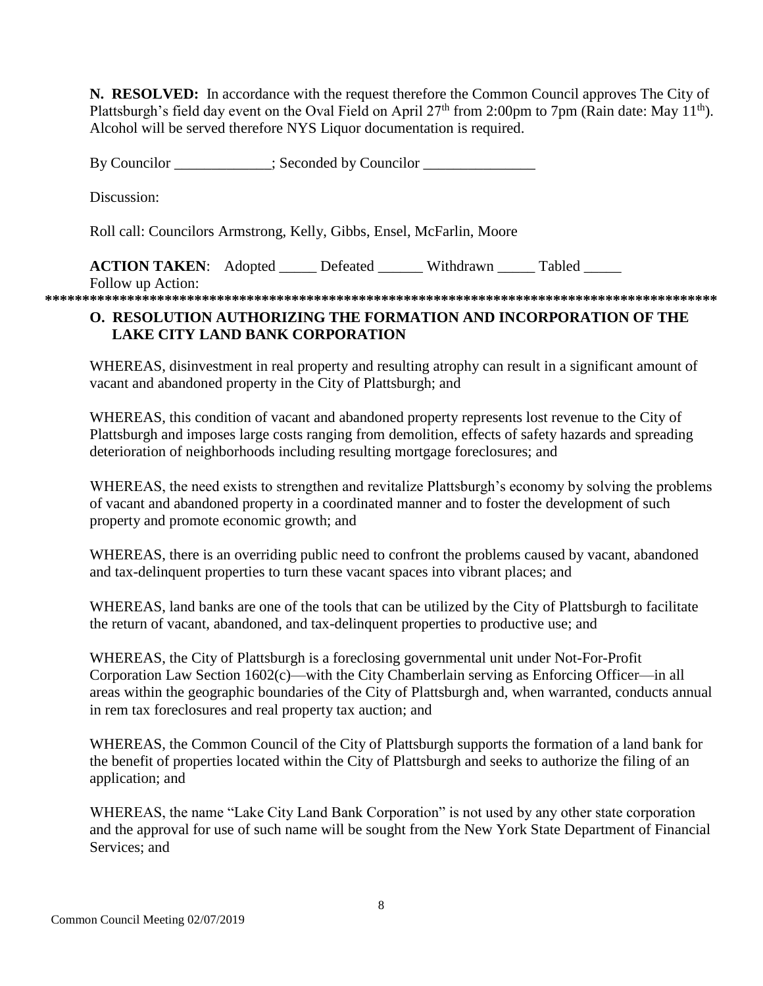**N. RESOLVED:** In accordance with the request therefore the Common Council approves The City of Plattsburgh's field day event on the Oval Field on April 27<sup>th</sup> from 2:00pm to 7pm (Rain date: May 11<sup>th</sup>). Alcohol will be served therefore NYS Liquor documentation is required.

By Councilor  $\qquad \qquad$  ; Seconded by Councilor  $\qquad \qquad$ Discussion: Roll call: Councilors Armstrong, Kelly, Gibbs, Ensel, McFarlin, Moore **ACTION TAKEN:** Adopted Defeated Withdrawn Tabled Follow up Action: **\*\*\*\*\*\*\*\*\*\*\*\*\*\*\*\*\*\*\*\*\*\*\*\*\*\*\*\*\*\*\*\*\*\*\*\*\*\*\*\*\*\*\*\*\*\*\*\*\*\*\*\*\*\*\*\*\*\*\*\*\*\*\*\*\*\*\*\*\*\*\*\*\*\*\*\*\*\*\*\*\*\*\*\*\*\*\*\*\*\***

# **O. RESOLUTION AUTHORIZING THE FORMATION AND INCORPORATION OF THE LAKE CITY LAND BANK CORPORATION**

WHEREAS, disinvestment in real property and resulting atrophy can result in a significant amount of vacant and abandoned property in the City of Plattsburgh; and

WHEREAS, this condition of vacant and abandoned property represents lost revenue to the City of Plattsburgh and imposes large costs ranging from demolition, effects of safety hazards and spreading deterioration of neighborhoods including resulting mortgage foreclosures; and

WHEREAS, the need exists to strengthen and revitalize Plattsburgh's economy by solving the problems of vacant and abandoned property in a coordinated manner and to foster the development of such property and promote economic growth; and

WHEREAS, there is an overriding public need to confront the problems caused by vacant, abandoned and tax-delinquent properties to turn these vacant spaces into vibrant places; and

WHEREAS, land banks are one of the tools that can be utilized by the City of Plattsburgh to facilitate the return of vacant, abandoned, and tax-delinquent properties to productive use; and

WHEREAS, the City of Plattsburgh is a foreclosing governmental unit under Not-For-Profit Corporation Law Section 1602(c)—with the City Chamberlain serving as Enforcing Officer—in all areas within the geographic boundaries of the City of Plattsburgh and, when warranted, conducts annual in rem tax foreclosures and real property tax auction; and

WHEREAS, the Common Council of the City of Plattsburgh supports the formation of a land bank for the benefit of properties located within the City of Plattsburgh and seeks to authorize the filing of an application; and

WHEREAS, the name "Lake City Land Bank Corporation" is not used by any other state corporation and the approval for use of such name will be sought from the New York State Department of Financial Services; and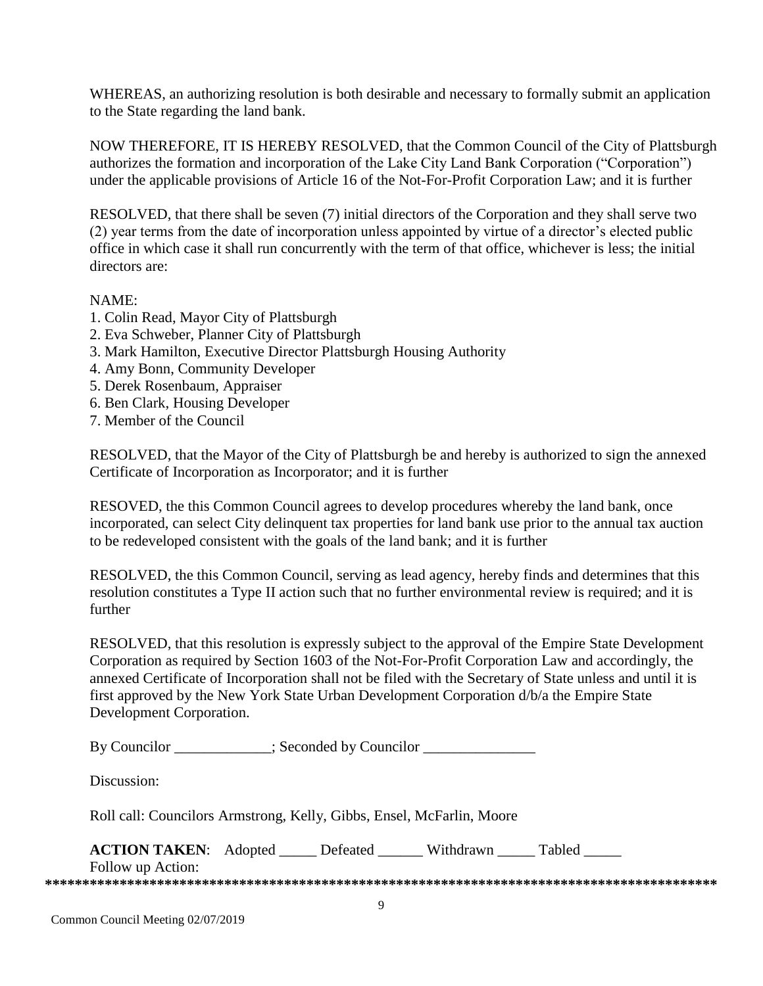WHEREAS, an authorizing resolution is both desirable and necessary to formally submit an application to the State regarding the land bank.

NOW THEREFORE, IT IS HEREBY RESOLVED, that the Common Council of the City of Plattsburgh authorizes the formation and incorporation of the Lake City Land Bank Corporation ("Corporation") under the applicable provisions of Article 16 of the Not-For-Profit Corporation Law; and it is further

RESOLVED, that there shall be seven (7) initial directors of the Corporation and they shall serve two (2) year terms from the date of incorporation unless appointed by virtue of a director's elected public office in which case it shall run concurrently with the term of that office, whichever is less; the initial directors are:

### NAME:

- 1. Colin Read, Mayor City of Plattsburgh
- 2. Eva Schweber, Planner City of Plattsburgh
- 3. Mark Hamilton, Executive Director Plattsburgh Housing Authority
- 4. Amy Bonn, Community Developer
- 5. Derek Rosenbaum, Appraiser
- 6. Ben Clark, Housing Developer
- 7. Member of the Council

RESOLVED, that the Mayor of the City of Plattsburgh be and hereby is authorized to sign the annexed Certificate of Incorporation as Incorporator; and it is further

RESOVED, the this Common Council agrees to develop procedures whereby the land bank, once incorporated, can select City delinquent tax properties for land bank use prior to the annual tax auction to be redeveloped consistent with the goals of the land bank; and it is further

RESOLVED, the this Common Council, serving as lead agency, hereby finds and determines that this resolution constitutes a Type II action such that no further environmental review is required; and it is further

RESOLVED, that this resolution is expressly subject to the approval of the Empire State Development Corporation as required by Section 1603 of the Not-For-Profit Corporation Law and accordingly, the annexed Certificate of Incorporation shall not be filed with the Secretary of State unless and until it is first approved by the New York State Urban Development Corporation d/b/a the Empire State Development Corporation.

By Councilor \_\_\_\_\_\_\_\_\_\_; Seconded by Councilor \_\_\_\_\_\_\_\_\_\_\_\_\_\_\_\_\_\_\_\_\_\_\_\_\_\_\_\_\_\_\_\_\_

Discussion:

Roll call: Councilors Armstrong, Kelly, Gibbs, Ensel, McFarlin, Moore

| <b>ACTION TAKEN:</b> Adopted | Defeated | Withdrawn | Tabled |  |
|------------------------------|----------|-----------|--------|--|
| Follow up Action:            |          |           |        |  |
|                              |          |           |        |  |